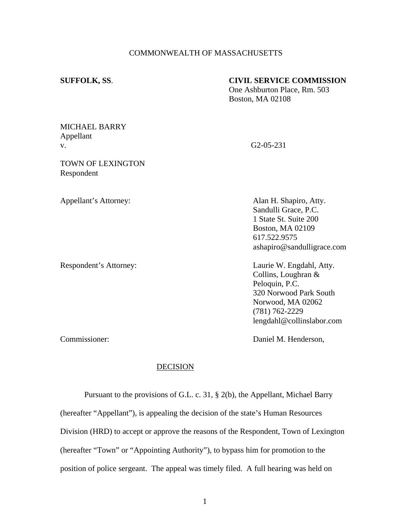### COMMONWEALTH OF MASSACHUSETTS

# **SUFFOLK, SS**. **CIVIL SERVICE COMMISSION**

One Ashburton Place, Rm. 503 Boston, MA 02108

## MICHAEL BARRY Appellant v. G2-05-231

TOWN OF LEXINGTON Respondent

Appellant's Attorney: Alan H. Shapiro, Atty. Sandulli Grace, P.C. 1 State St. Suite 200 Boston, MA 02109 617.522.9575 ashapiro@sandulligrace.com

Respondent's Attorney: Laurie W. Engdahl, Atty. Collins, Loughran & Peloquin, P.C. 320 Norwood Park South Norwood, MA 02062 (781) 762-2229 lengdahl@collinslabor.com

Commissioner: Daniel M. Henderson,

### DECISION

Pursuant to the provisions of G.L. c. 31, § 2(b), the Appellant, Michael Barry (hereafter "Appellant"), is appealing the decision of the state's Human Resources Division (HRD) to accept or approve the reasons of the Respondent, Town of Lexington (hereafter "Town" or "Appointing Authority"), to bypass him for promotion to the position of police sergeant. The appeal was timely filed. A full hearing was held on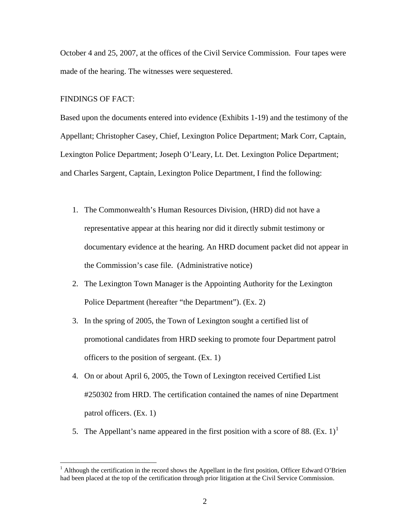October 4 and 25, 2007, at the offices of the Civil Service Commission. Four tapes were made of the hearing. The witnesses were sequestered.

## FINDINGS OF FACT:

1

Based upon the documents entered into evidence (Exhibits 1-19) and the testimony of the Appellant; Christopher Casey, Chief, Lexington Police Department; Mark Corr, Captain, Lexington Police Department; Joseph O'Leary, Lt. Det. Lexington Police Department; and Charles Sargent, Captain, Lexington Police Department, I find the following:

- 1. The Commonwealth's Human Resources Division, (HRD) did not have a representative appear at this hearing nor did it directly submit testimony or documentary evidence at the hearing. An HRD document packet did not appear in the Commission's case file. (Administrative notice)
- 2. The Lexington Town Manager is the Appointing Authority for the Lexington Police Department (hereafter "the Department"). (Ex. 2)
- 3. In the spring of 2005, the Town of Lexington sought a certified list of promotional candidates from HRD seeking to promote four Department patrol officers to the position of sergeant. (Ex. 1)
- 4. On or about April 6, 2005, the Town of Lexington received Certified List #250302 from HRD. The certification contained the names of nine Department patrol officers. (Ex. 1)
- 5. The Appellant's name appeared in the first position with a score of 88. (Ex. [1](#page-1-0))<sup>1</sup>

<span id="page-1-0"></span><sup>&</sup>lt;sup>1</sup> Although the certification in the record shows the Appellant in the first position, Officer Edward O'Brien had been placed at the top of the certification through prior litigation at the Civil Service Commission.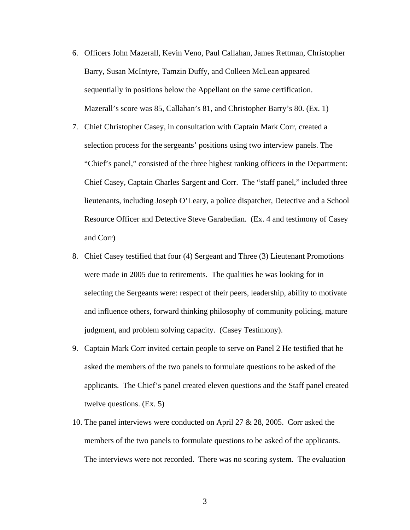- 6. Officers John Mazerall, Kevin Veno, Paul Callahan, James Rettman, Christopher Barry, Susan McIntyre, Tamzin Duffy, and Colleen McLean appeared sequentially in positions below the Appellant on the same certification. Mazerall's score was 85, Callahan's 81, and Christopher Barry's 80. (Ex. 1)
- 7. Chief Christopher Casey, in consultation with Captain Mark Corr, created a selection process for the sergeants' positions using two interview panels. The "Chief's panel," consisted of the three highest ranking officers in the Department: Chief Casey, Captain Charles Sargent and Corr. The "staff panel," included three lieutenants, including Joseph O'Leary, a police dispatcher, Detective and a School Resource Officer and Detective Steve Garabedian. (Ex. 4 and testimony of Casey and Corr)
- 8. Chief Casey testified that four (4) Sergeant and Three (3) Lieutenant Promotions were made in 2005 due to retirements. The qualities he was looking for in selecting the Sergeants were: respect of their peers, leadership, ability to motivate and influence others, forward thinking philosophy of community policing, mature judgment, and problem solving capacity. (Casey Testimony).
- 9. Captain Mark Corr invited certain people to serve on Panel 2 He testified that he asked the members of the two panels to formulate questions to be asked of the applicants. The Chief's panel created eleven questions and the Staff panel created twelve questions. (Ex. 5)
- 10. The panel interviews were conducted on April 27 & 28, 2005. Corr asked the members of the two panels to formulate questions to be asked of the applicants. The interviews were not recorded. There was no scoring system. The evaluation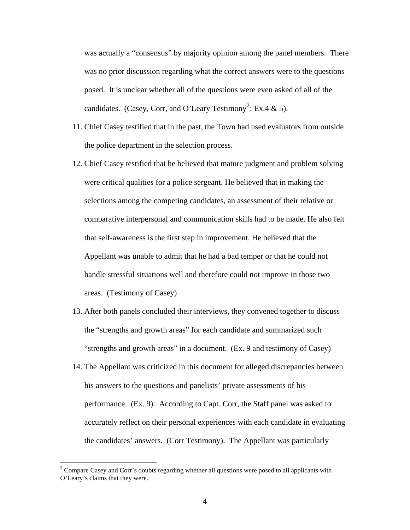was actually a "consensus" by majority opinion among the panel members. There was no prior discussion regarding what the correct answers were to the questions posed. It is unclear whether all of the questions were even asked of all of the candidates. (Casey, Corr, and O'Leary Testimony<sup>2</sup>; Ex.4 & 5).

- 11. Chief Casey testified that in the past, the Town had used evaluators from outside the police department in the selection process.
- 12. Chief Casey testified that he believed that mature judgment and problem solving were critical qualities for a police sergeant. He believed that in making the selections among the competing candidates, an assessment of their relative or comparative interpersonal and communication skills had to be made. He also felt that self-awareness is the first step in improvement. He believed that the Appellant was unable to admit that he had a bad temper or that he could not handle stressful situations well and therefore could not improve in those two areas. (Testimony of Casey)
- 13. After both panels concluded their interviews, they convened together to discuss the "strengths and growth areas" for each candidate and summarized such "strengths and growth areas" in a document. (Ex. 9 and testimony of Casey)
- 14. The Appellant was criticized in this document for alleged discrepancies between his answers to the questions and panelists' private assessments of his performance. (Ex. 9). According to Capt. Corr, the Staff panel was asked to accurately reflect on their personal experiences with each candidate in evaluating the candidates' answers. (Corr Testimony). The Appellant was particularly

 $\overline{a}$ 

 $2^2$  Compare Casey and Corr's doubts regarding whether all questions were posed to all applicants with O'Leary's claims that they were.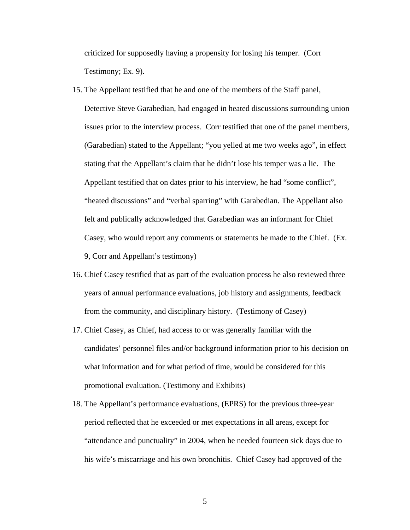criticized for supposedly having a propensity for losing his temper. (Corr Testimony; Ex. 9).

- 15. The Appellant testified that he and one of the members of the Staff panel, Detective Steve Garabedian, had engaged in heated discussions surrounding union issues prior to the interview process. Corr testified that one of the panel members, (Garabedian) stated to the Appellant; "you yelled at me two weeks ago", in effect stating that the Appellant's claim that he didn't lose his temper was a lie. The Appellant testified that on dates prior to his interview, he had "some conflict", "heated discussions" and "verbal sparring" with Garabedian. The Appellant also felt and publically acknowledged that Garabedian was an informant for Chief Casey, who would report any comments or statements he made to the Chief. (Ex. 9, Corr and Appellant's testimony)
- 16. Chief Casey testified that as part of the evaluation process he also reviewed three years of annual performance evaluations, job history and assignments, feedback from the community, and disciplinary history. (Testimony of Casey)
- 17. Chief Casey, as Chief, had access to or was generally familiar with the candidates' personnel files and/or background information prior to his decision on what information and for what period of time, would be considered for this promotional evaluation. (Testimony and Exhibits)
- 18. The Appellant's performance evaluations, (EPRS) for the previous three-year period reflected that he exceeded or met expectations in all areas, except for "attendance and punctuality" in 2004, when he needed fourteen sick days due to his wife's miscarriage and his own bronchitis. Chief Casey had approved of the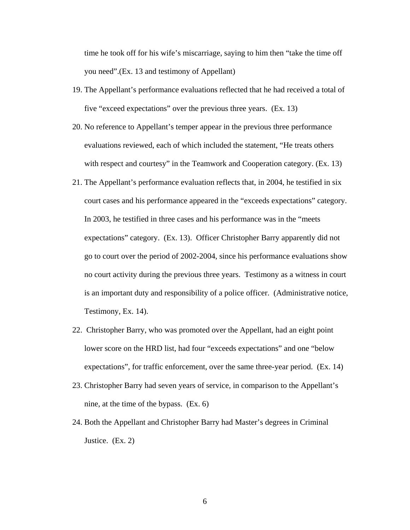time he took off for his wife's miscarriage, saying to him then "take the time off you need".(Ex. 13 and testimony of Appellant)

- 19. The Appellant's performance evaluations reflected that he had received a total of five "exceed expectations" over the previous three years. (Ex. 13)
- 20. No reference to Appellant's temper appear in the previous three performance evaluations reviewed, each of which included the statement, "He treats others with respect and courtesy" in the Teamwork and Cooperation category. (Ex. 13)
- 21. The Appellant's performance evaluation reflects that, in 2004, he testified in six court cases and his performance appeared in the "exceeds expectations" category. In 2003, he testified in three cases and his performance was in the "meets expectations" category. (Ex. 13). Officer Christopher Barry apparently did not go to court over the period of 2002-2004, since his performance evaluations show no court activity during the previous three years. Testimony as a witness in court is an important duty and responsibility of a police officer. (Administrative notice, Testimony, Ex. 14).
- 22. Christopher Barry, who was promoted over the Appellant, had an eight point lower score on the HRD list, had four "exceeds expectations" and one "below expectations", for traffic enforcement, over the same three-year period. (Ex. 14)
- 23. Christopher Barry had seven years of service, in comparison to the Appellant's nine, at the time of the bypass. (Ex. 6)
- 24. Both the Appellant and Christopher Barry had Master's degrees in Criminal Justice. (Ex. 2)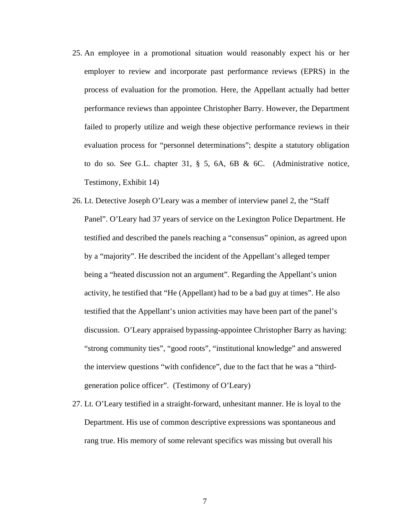- 25. An employee in a promotional situation would reasonably expect his or her employer to review and incorporate past performance reviews (EPRS) in the process of evaluation for the promotion. Here, the Appellant actually had better performance reviews than appointee Christopher Barry. However, the Department failed to properly utilize and weigh these objective performance reviews in their evaluation process for "personnel determinations"; despite a statutory obligation to do so. See G.L. chapter 31, § 5, 6A, 6B & 6C. (Administrative notice, Testimony, Exhibit 14)
- 26. Lt. Detective Joseph O'Leary was a member of interview panel 2, the "Staff Panel". O'Leary had 37 years of service on the Lexington Police Department. He testified and described the panels reaching a "consensus" opinion, as agreed upon by a "majority". He described the incident of the Appellant's alleged temper being a "heated discussion not an argument". Regarding the Appellant's union activity, he testified that "He (Appellant) had to be a bad guy at times". He also testified that the Appellant's union activities may have been part of the panel's discussion. O'Leary appraised bypassing-appointee Christopher Barry as having: "strong community ties", "good roots", "institutional knowledge" and answered the interview questions "with confidence", due to the fact that he was a "thirdgeneration police officer". (Testimony of O'Leary)
- 27. Lt. O'Leary testified in a straight-forward, unhesitant manner. He is loyal to the Department. His use of common descriptive expressions was spontaneous and rang true. His memory of some relevant specifics was missing but overall his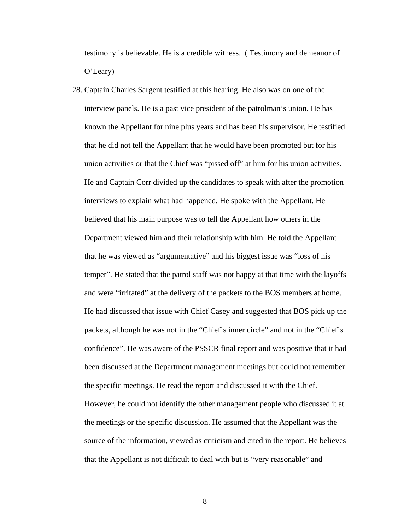testimony is believable. He is a credible witness. ( Testimony and demeanor of O'Leary)

28. Captain Charles Sargent testified at this hearing. He also was on one of the interview panels. He is a past vice president of the patrolman's union. He has known the Appellant for nine plus years and has been his supervisor. He testified that he did not tell the Appellant that he would have been promoted but for his union activities or that the Chief was "pissed off" at him for his union activities. He and Captain Corr divided up the candidates to speak with after the promotion interviews to explain what had happened. He spoke with the Appellant. He believed that his main purpose was to tell the Appellant how others in the Department viewed him and their relationship with him. He told the Appellant that he was viewed as "argumentative" and his biggest issue was "loss of his temper". He stated that the patrol staff was not happy at that time with the layoffs and were "irritated" at the delivery of the packets to the BOS members at home. He had discussed that issue with Chief Casey and suggested that BOS pick up the packets, although he was not in the "Chief's inner circle" and not in the "Chief's confidence". He was aware of the PSSCR final report and was positive that it had been discussed at the Department management meetings but could not remember the specific meetings. He read the report and discussed it with the Chief. However, he could not identify the other management people who discussed it at the meetings or the specific discussion. He assumed that the Appellant was the source of the information, viewed as criticism and cited in the report. He believes that the Appellant is not difficult to deal with but is "very reasonable" and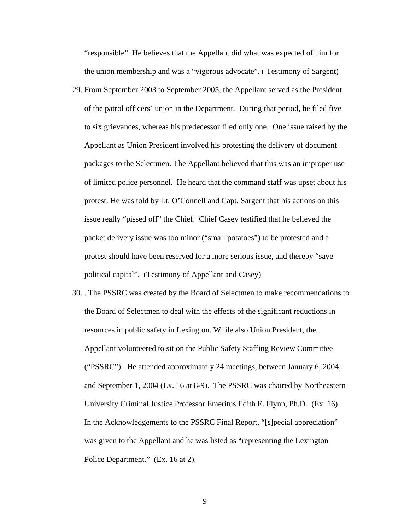"responsible". He believes that the Appellant did what was expected of him for the union membership and was a "vigorous advocate". ( Testimony of Sargent)

- 29. From September 2003 to September 2005, the Appellant served as the President of the patrol officers' union in the Department. During that period, he filed five to six grievances, whereas his predecessor filed only one. One issue raised by the Appellant as Union President involved his protesting the delivery of document packages to the Selectmen. The Appellant believed that this was an improper use of limited police personnel. He heard that the command staff was upset about his protest. He was told by Lt. O'Connell and Capt. Sargent that his actions on this issue really "pissed off" the Chief. Chief Casey testified that he believed the packet delivery issue was too minor ("small potatoes") to be protested and a protest should have been reserved for a more serious issue, and thereby "save political capital". (Testimony of Appellant and Casey)
- 30. . The PSSRC was created by the Board of Selectmen to make recommendations to the Board of Selectmen to deal with the effects of the significant reductions in resources in public safety in Lexington. While also Union President, the Appellant volunteered to sit on the Public Safety Staffing Review Committee ("PSSRC"). He attended approximately 24 meetings, between January 6, 2004, and September 1, 2004 (Ex. 16 at 8-9). The PSSRC was chaired by Northeastern University Criminal Justice Professor Emeritus Edith E. Flynn, Ph.D. (Ex. 16). In the Acknowledgements to the PSSRC Final Report, "[s]pecial appreciation" was given to the Appellant and he was listed as "representing the Lexington Police Department." (Ex. 16 at 2).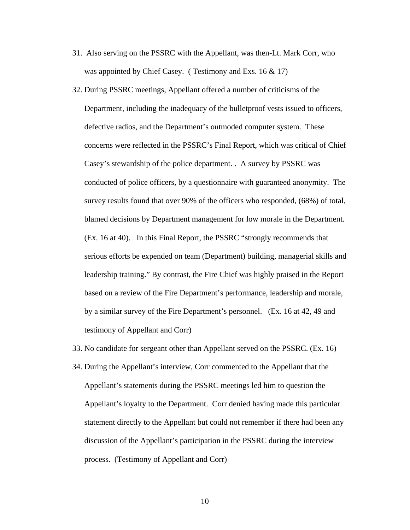- 31. Also serving on the PSSRC with the Appellant, was then-Lt. Mark Corr, who was appointed by Chief Casey. (Testimony and Exs. 16 & 17)
- 32. During PSSRC meetings, Appellant offered a number of criticisms of the Department, including the inadequacy of the bulletproof vests issued to officers, defective radios, and the Department's outmoded computer system. These concerns were reflected in the PSSRC's Final Report, which was critical of Chief Casey's stewardship of the police department. . A survey by PSSRC was conducted of police officers, by a questionnaire with guaranteed anonymity. The survey results found that over 90% of the officers who responded, (68%) of total, blamed decisions by Department management for low morale in the Department. (Ex. 16 at 40). In this Final Report, the PSSRC "strongly recommends that serious efforts be expended on team (Department) building, managerial skills and leadership training." By contrast, the Fire Chief was highly praised in the Report based on a review of the Fire Department's performance, leadership and morale, by a similar survey of the Fire Department's personnel. (Ex. 16 at 42, 49 and testimony of Appellant and Corr)

33. No candidate for sergeant other than Appellant served on the PSSRC. (Ex. 16)

34. During the Appellant's interview, Corr commented to the Appellant that the Appellant's statements during the PSSRC meetings led him to question the Appellant's loyalty to the Department. Corr denied having made this particular statement directly to the Appellant but could not remember if there had been any discussion of the Appellant's participation in the PSSRC during the interview process. (Testimony of Appellant and Corr)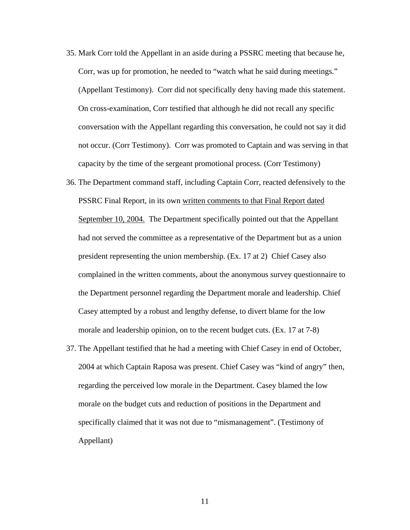- 35. Mark Corr told the Appellant in an aside during a PSSRC meeting that because he, Corr, was up for promotion, he needed to "watch what he said during meetings." (Appellant Testimony). Corr did not specifically deny having made this statement. On cross-examination, Corr testified that although he did not recall any specific conversation with the Appellant regarding this conversation, he could not say it did not occur. (Corr Testimony). Corr was promoted to Captain and was serving in that capacity by the time of the sergeant promotional process. (Corr Testimony)
- 36. The Department command staff, including Captain Corr, reacted defensively to the PSSRC Final Report, in its own written comments to that Final Report dated September 10, 2004. The Department specifically pointed out that the Appellant had not served the committee as a representative of the Department but as a union president representing the union membership. (Ex. 17 at 2) Chief Casey also complained in the written comments, about the anonymous survey questionnaire to the Department personnel regarding the Department morale and leadership. Chief Casey attempted by a robust and lengthy defense, to divert blame for the low morale and leadership opinion, on to the recent budget cuts. (Ex. 17 at 7-8)
- 37. The Appellant testified that he had a meeting with Chief Casey in end of October, 2004 at which Captain Raposa was present. Chief Casey was "kind of angry" then, regarding the perceived low morale in the Department. Casey blamed the low morale on the budget cuts and reduction of positions in the Department and specifically claimed that it was not due to "mismanagement". (Testimony of Appellant)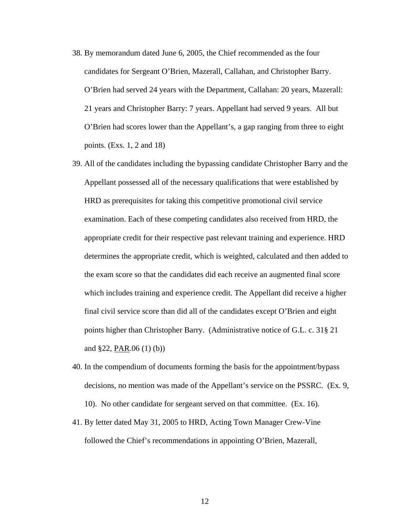- 38. By memorandum dated June 6, 2005, the Chief recommended as the four candidates for Sergeant O'Brien, Mazerall, Callahan, and Christopher Barry. O'Brien had served 24 years with the Department, Callahan: 20 years, Mazerall: 21 years and Christopher Barry: 7 years. Appellant had served 9 years. All but O'Brien had scores lower than the Appellant's, a gap ranging from three to eight points. (Exs. 1, 2 and 18)
- 39. All of the candidates including the bypassing candidate Christopher Barry and the Appellant possessed all of the necessary qualifications that were established by HRD as prerequisites for taking this competitive promotional civil service examination. Each of these competing candidates also received from HRD, the appropriate credit for their respective past relevant training and experience. HRD determines the appropriate credit, which is weighted, calculated and then added to the exam score so that the candidates did each receive an augmented final score which includes training and experience credit. The Appellant did receive a higher final civil service score than did all of the candidates except O'Brien and eight points higher than Christopher Barry. (Administrative notice of G.L. c. 31§ 21 and  $$22, PAR.06 (1) (b))$
- 40. In the compendium of documents forming the basis for the appointment/bypass decisions, no mention was made of the Appellant's service on the PSSRC. (Ex. 9, 10). No other candidate for sergeant served on that committee. (Ex. 16).
- 41. By letter dated May 31, 2005 to HRD, Acting Town Manager Crew-Vine followed the Chief's recommendations in appointing O'Brien, Mazerall,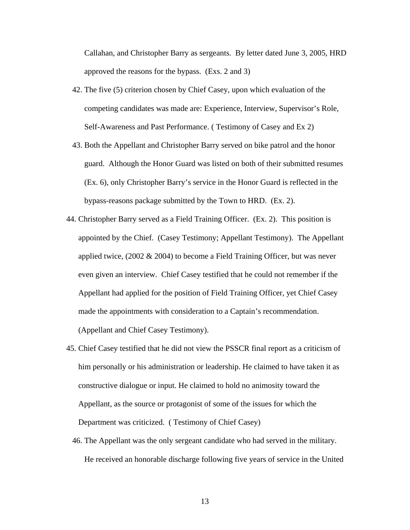Callahan, and Christopher Barry as sergeants. By letter dated June 3, 2005, HRD approved the reasons for the bypass. (Exs. 2 and 3)

- 42. The five (5) criterion chosen by Chief Casey, upon which evaluation of the competing candidates was made are: Experience, Interview, Supervisor's Role, Self-Awareness and Past Performance. ( Testimony of Casey and Ex 2)
- 43. Both the Appellant and Christopher Barry served on bike patrol and the honor guard. Although the Honor Guard was listed on both of their submitted resumes (Ex. 6), only Christopher Barry's service in the Honor Guard is reflected in the bypass-reasons package submitted by the Town to HRD. (Ex. 2).
- 44. Christopher Barry served as a Field Training Officer. (Ex. 2). This position is appointed by the Chief. (Casey Testimony; Appellant Testimony). The Appellant applied twice, (2002 & 2004) to become a Field Training Officer, but was never even given an interview. Chief Casey testified that he could not remember if the Appellant had applied for the position of Field Training Officer, yet Chief Casey made the appointments with consideration to a Captain's recommendation. (Appellant and Chief Casey Testimony).
- 45. Chief Casey testified that he did not view the PSSCR final report as a criticism of him personally or his administration or leadership. He claimed to have taken it as constructive dialogue or input. He claimed to hold no animosity toward the Appellant, as the source or protagonist of some of the issues for which the Department was criticized. ( Testimony of Chief Casey)
	- 46. The Appellant was the only sergeant candidate who had served in the military. He received an honorable discharge following five years of service in the United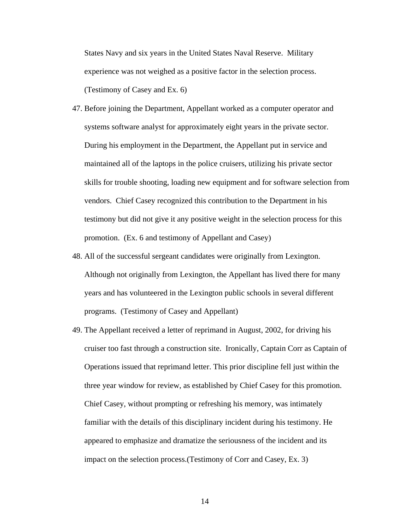States Navy and six years in the United States Naval Reserve. Military experience was not weighed as a positive factor in the selection process. (Testimony of Casey and Ex. 6)

- 47. Before joining the Department, Appellant worked as a computer operator and systems software analyst for approximately eight years in the private sector. During his employment in the Department, the Appellant put in service and maintained all of the laptops in the police cruisers, utilizing his private sector skills for trouble shooting, loading new equipment and for software selection from vendors. Chief Casey recognized this contribution to the Department in his testimony but did not give it any positive weight in the selection process for this promotion. (Ex. 6 and testimony of Appellant and Casey)
- 48. All of the successful sergeant candidates were originally from Lexington. Although not originally from Lexington, the Appellant has lived there for many years and has volunteered in the Lexington public schools in several different programs. (Testimony of Casey and Appellant)
- 49. The Appellant received a letter of reprimand in August, 2002, for driving his cruiser too fast through a construction site. Ironically, Captain Corr as Captain of Operations issued that reprimand letter. This prior discipline fell just within the three year window for review, as established by Chief Casey for this promotion. Chief Casey, without prompting or refreshing his memory, was intimately familiar with the details of this disciplinary incident during his testimony. He appeared to emphasize and dramatize the seriousness of the incident and its impact on the selection process.(Testimony of Corr and Casey, Ex. 3)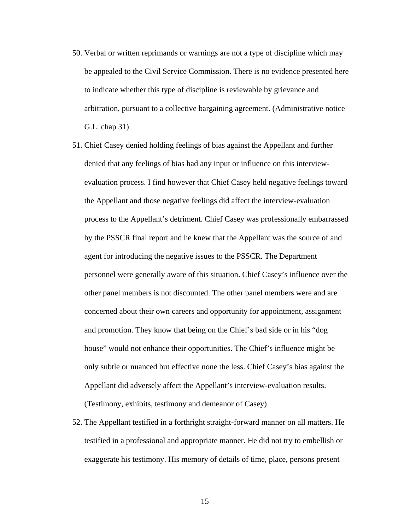- 50. Verbal or written reprimands or warnings are not a type of discipline which may be appealed to the Civil Service Commission. There is no evidence presented here to indicate whether this type of discipline is reviewable by grievance and arbitration, pursuant to a collective bargaining agreement. (Administrative notice G.L. chap 31)
- 51. Chief Casey denied holding feelings of bias against the Appellant and further denied that any feelings of bias had any input or influence on this interviewevaluation process. I find however that Chief Casey held negative feelings toward the Appellant and those negative feelings did affect the interview-evaluation process to the Appellant's detriment. Chief Casey was professionally embarrassed by the PSSCR final report and he knew that the Appellant was the source of and agent for introducing the negative issues to the PSSCR. The Department personnel were generally aware of this situation. Chief Casey's influence over the other panel members is not discounted. The other panel members were and are concerned about their own careers and opportunity for appointment, assignment and promotion. They know that being on the Chief's bad side or in his "dog house" would not enhance their opportunities. The Chief's influence might be only subtle or nuanced but effective none the less. Chief Casey's bias against the Appellant did adversely affect the Appellant's interview-evaluation results. (Testimony, exhibits, testimony and demeanor of Casey)
- 52. The Appellant testified in a forthright straight-forward manner on all matters. He testified in a professional and appropriate manner. He did not try to embellish or exaggerate his testimony. His memory of details of time, place, persons present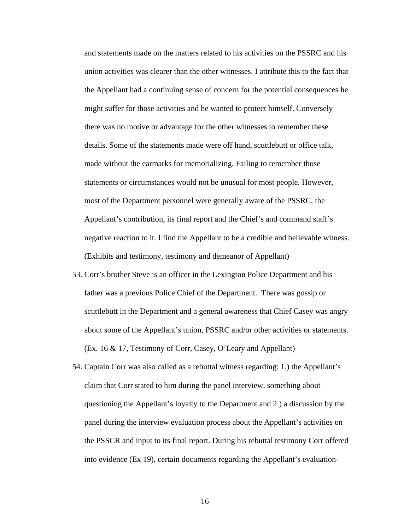and statements made on the matters related to his activities on the PSSRC and his union activities was clearer than the other witnesses. I attribute this to the fact that the Appellant had a continuing sense of concern for the potential consequences he might suffer for those activities and he wanted to protect himself. Conversely there was no motive or advantage for the other witnesses to remember these details. Some of the statements made were off hand, scuttlebutt or office talk, made without the earmarks for memorializing. Failing to remember those statements or circumstances would not be unusual for most people. However, most of the Department personnel were generally aware of the PSSRC, the Appellant's contribution, its final report and the Chief's and command staff's negative reaction to it. I find the Appellant to be a credible and believable witness. (Exhibits and testimony, testimony and demeanor of Appellant)

- 53. Corr's brother Steve is an officer in the Lexington Police Department and his father was a previous Police Chief of the Department. There was gossip or scuttlebutt in the Department and a general awareness that Chief Casey was angry about some of the Appellant's union, PSSRC and/or other activities or statements. (Ex. 16 & 17, Testimony of Corr, Casey, O'Leary and Appellant)
- 54. Captain Corr was also called as a rebuttal witness regarding: 1.) the Appellant's claim that Corr stated to him during the panel interview, something about questioning the Appellant's loyalty to the Department and 2.) a discussion by the panel during the interview evaluation process about the Appellant's activities on the PSSCR and input to its final report. During his rebuttal testimony Corr offered into evidence (Ex 19), certain documents regarding the Appellant's evaluation-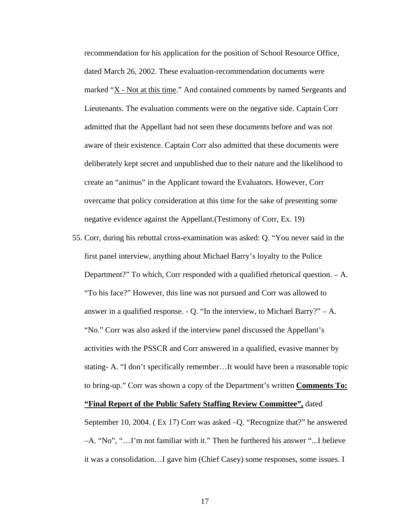recommendation for his application for the position of School Resource Office, dated March 26, 2002. These evaluation-recommendation documents were marked "X - Not at this time." And contained comments by named Sergeants and Lieutenants. The evaluation comments were on the negative side. Captain Corr admitted that the Appellant had not seen these documents before and was not aware of their existence. Captain Corr also admitted that these documents were deliberately kept secret and unpublished due to their nature and the likelihood to create an "animus" in the Applicant toward the Evaluators. However, Corr overcame that policy consideration at this time for the sake of presenting some negative evidence against the Appellant.(Testimony of Corr, Ex. 19)

- 55. Corr, during his rebuttal cross-examination was asked: Q. "You never said in the first panel interview, anything about Michael Barry's loyalty to the Police Department?" To which, Corr responded with a qualified rhetorical question. – A. "To his face?" However, this line was not pursued and Corr was allowed to answer in a qualified response. - Q. "In the interview, to Michael Barry?" – A. "No." Corr was also asked if the interview panel discussed the Appellant's activities with the PSSCR and Corr answered in a qualified, evasive manner by stating- A. "I don't specifically remember…It would have been a reasonable topic to bring-up." Corr was shown a copy of the Department's written **Comments To: "Final Report of the Public Safety Staffing Review Committee",** dated September 10, 2004. ( Ex 17) Corr was asked –Q. "Recognize that?" he answered –A. "No", "…I'm not familiar with it." Then he furthered his answer "...I believe
	- it was a consolidation…I gave him (Chief Casey) some responses, some issues. I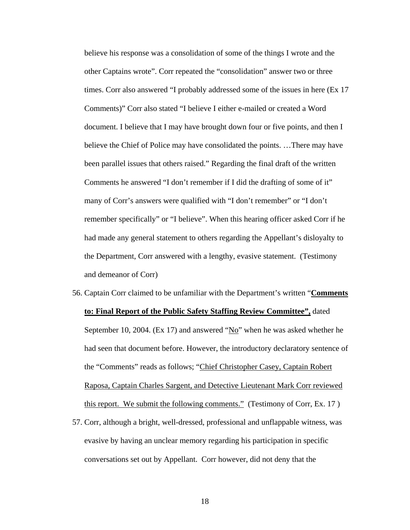believe his response was a consolidation of some of the things I wrote and the other Captains wrote". Corr repeated the "consolidation" answer two or three times. Corr also answered "I probably addressed some of the issues in here (Ex 17 Comments)" Corr also stated "I believe I either e-mailed or created a Word document. I believe that I may have brought down four or five points, and then I believe the Chief of Police may have consolidated the points. …There may have been parallel issues that others raised." Regarding the final draft of the written Comments he answered "I don't remember if I did the drafting of some of it" many of Corr's answers were qualified with "I don't remember" or "I don't remember specifically" or "I believe". When this hearing officer asked Corr if he had made any general statement to others regarding the Appellant's disloyalty to the Department, Corr answered with a lengthy, evasive statement. (Testimony and demeanor of Corr)

- 56. Captain Corr claimed to be unfamiliar with the Department's written "**Comments to: Final Report of the Public Safety Staffing Review Committee",** dated September 10, 2004. (Ex 17) and answered "No" when he was asked whether he had seen that document before. However, the introductory declaratory sentence of the "Comments" reads as follows; "Chief Christopher Casey, Captain Robert Raposa, Captain Charles Sargent, and Detective Lieutenant Mark Corr reviewed this report. We submit the following comments." (Testimony of Corr, Ex. 17 )
- 57. Corr, although a bright, well-dressed, professional and unflappable witness, was evasive by having an unclear memory regarding his participation in specific conversations set out by Appellant. Corr however, did not deny that the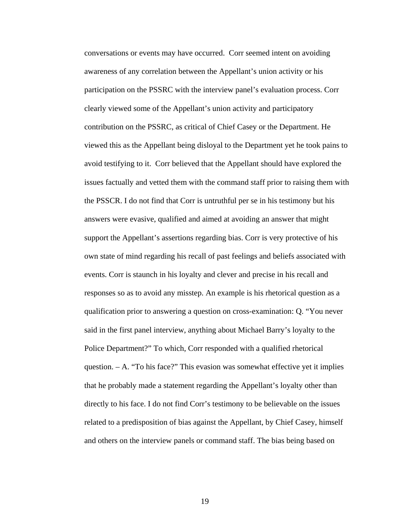conversations or events may have occurred. Corr seemed intent on avoiding awareness of any correlation between the Appellant's union activity or his participation on the PSSRC with the interview panel's evaluation process. Corr clearly viewed some of the Appellant's union activity and participatory contribution on the PSSRC, as critical of Chief Casey or the Department. He viewed this as the Appellant being disloyal to the Department yet he took pains to avoid testifying to it. Corr believed that the Appellant should have explored the issues factually and vetted them with the command staff prior to raising them with the PSSCR. I do not find that Corr is untruthful per se in his testimony but his answers were evasive, qualified and aimed at avoiding an answer that might support the Appellant's assertions regarding bias. Corr is very protective of his own state of mind regarding his recall of past feelings and beliefs associated with events. Corr is staunch in his loyalty and clever and precise in his recall and responses so as to avoid any misstep. An example is his rhetorical question as a qualification prior to answering a question on cross-examination: Q. "You never said in the first panel interview, anything about Michael Barry's loyalty to the Police Department?" To which, Corr responded with a qualified rhetorical question. – A. "To his face?" This evasion was somewhat effective yet it implies that he probably made a statement regarding the Appellant's loyalty other than directly to his face. I do not find Corr's testimony to be believable on the issues related to a predisposition of bias against the Appellant, by Chief Casey, himself and others on the interview panels or command staff. The bias being based on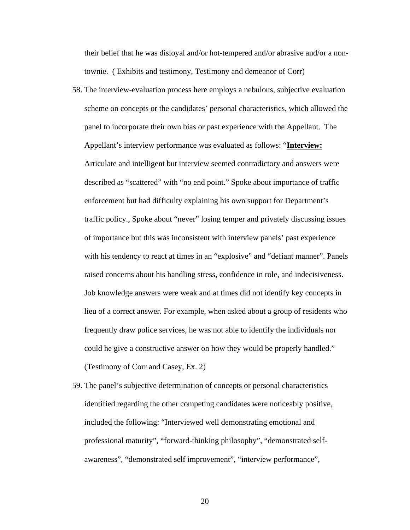their belief that he was disloyal and/or hot-tempered and/or abrasive and/or a nontownie. ( Exhibits and testimony, Testimony and demeanor of Corr)

- 58. The interview-evaluation process here employs a nebulous, subjective evaluation scheme on concepts or the candidates' personal characteristics, which allowed the panel to incorporate their own bias or past experience with the Appellant. The Appellant's interview performance was evaluated as follows: "**Interview:** Articulate and intelligent but interview seemed contradictory and answers were described as "scattered" with "no end point." Spoke about importance of traffic enforcement but had difficulty explaining his own support for Department's traffic policy., Spoke about "never" losing temper and privately discussing issues of importance but this was inconsistent with interview panels' past experience with his tendency to react at times in an "explosive" and "defiant manner". Panels raised concerns about his handling stress, confidence in role, and indecisiveness. Job knowledge answers were weak and at times did not identify key concepts in lieu of a correct answer. For example, when asked about a group of residents who frequently draw police services, he was not able to identify the individuals nor could he give a constructive answer on how they would be properly handled." (Testimony of Corr and Casey, Ex. 2)
- 59. The panel's subjective determination of concepts or personal characteristics identified regarding the other competing candidates were noticeably positive, included the following: "Interviewed well demonstrating emotional and professional maturity", "forward-thinking philosophy", "demonstrated selfawareness", "demonstrated self improvement", "interview performance",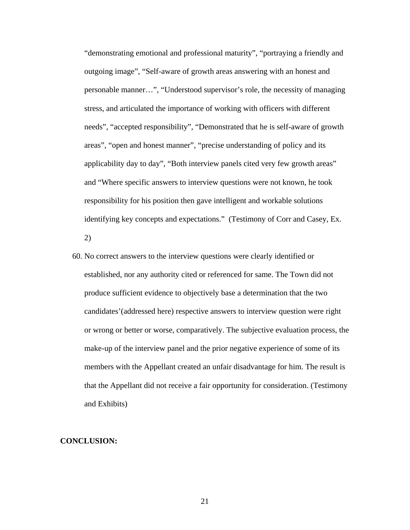"demonstrating emotional and professional maturity", "portraying a friendly and outgoing image", "Self-aware of growth areas answering with an honest and personable manner…", "Understood supervisor's role, the necessity of managing stress, and articulated the importance of working with officers with different needs", "accepted responsibility", "Demonstrated that he is self-aware of growth areas", "open and honest manner", "precise understanding of policy and its applicability day to day", "Both interview panels cited very few growth areas" and "Where specific answers to interview questions were not known, he took responsibility for his position then gave intelligent and workable solutions identifying key concepts and expectations." (Testimony of Corr and Casey, Ex. 2)

60. No correct answers to the interview questions were clearly identified or established, nor any authority cited or referenced for same. The Town did not produce sufficient evidence to objectively base a determination that the two candidates'(addressed here) respective answers to interview question were right or wrong or better or worse, comparatively. The subjective evaluation process, the make-up of the interview panel and the prior negative experience of some of its members with the Appellant created an unfair disadvantage for him. The result is that the Appellant did not receive a fair opportunity for consideration. (Testimony and Exhibits)

### **CONCLUSION:**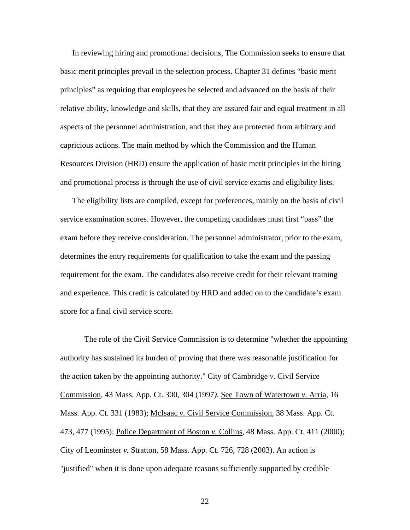In reviewing hiring and promotional decisions, The Commission seeks to ensure that basic merit principles prevail in the selection process. Chapter 31 defines "basic merit principles" as requiring that employees be selected and advanced on the basis of their relative ability, knowledge and skills, that they are assured fair and equal treatment in all aspects of the personnel administration, and that they are protected from arbitrary and capricious actions. The main method by which the Commission and the Human Resources Division (HRD) ensure the application of basic merit principles in the hiring and promotional process is through the use of civil service exams and eligibility lists.

The eligibility lists are compiled, except for preferences, mainly on the basis of civil service examination scores. However, the competing candidates must first "pass" the exam before they receive consideration. The personnel administrator, prior to the exam, determines the entry requirements for qualification to take the exam and the passing requirement for the exam. The candidates also receive credit for their relevant training and experience. This credit is calculated by HRD and added on to the candidate's exam score for a final civil service score.

The role of the Civil Service Commission is to determine "whether the appointing authority has sustained its burden of proving that there was reasonable justification for the action taken by the appointing authority." City of Cambridge *v.* Civil Service Commission*,* 43 Mass. App. Ct. 300, 304 (1997*).* See Town of Watertown *v.* Arria, 16 Mass. App. Ct. 331 (1983); McIsaac *v.* Civil Service Commission, 38 Mass. App. Ct. 473, 477 (1995); Police Department of Boston *v.* Collins, 48 Mass. App. Ct. 411 (2000); City of Leominster *v.* Stratton, 58 Mass. App. Ct. 726, 728 (2003). An action is "justified" when it is done upon adequate reasons sufficiently supported by credible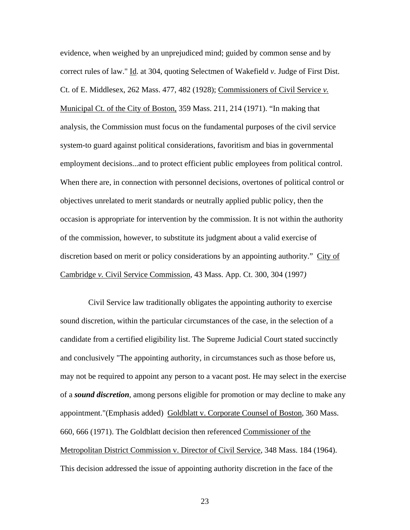evidence, when weighed by an unprejudiced mind; guided by common sense and by correct rules of law." Id. at 304, quoting Selectmen of Wakefield *v.* Judge of First Dist. Ct. of E. Middlesex, 262 Mass. 477, 482 (1928); Commissioners of Civil Service *v.*  Municipal Ct. of the City of Boston*,* 359 Mass. 211, 214 (1971). "In making that analysis, the Commission must focus on the fundamental purposes of the civil service system-to guard against political considerations, favoritism and bias in governmental employment decisions...and to protect efficient public employees from political control. When there are, in connection with personnel decisions, overtones of political control or objectives unrelated to merit standards or neutrally applied public policy, then the occasion is appropriate for intervention by the commission. It is not within the authority of the commission, however, to substitute its judgment about a valid exercise of discretion based on merit or policy considerations by an appointing authority." City of Cambridge *v.* Civil Service Commission*,* 43 Mass. App. Ct. 300, 304 (1997*)*

 Civil Service law traditionally obligates the appointing authority to exercise sound discretion, within the particular circumstances of the case, in the selection of a candidate from a certified eligibility list. The Supreme Judicial Court stated succinctly and conclusively "The appointing authority, in circumstances such as those before us, may not be required to appoint any person to a vacant post. He may select in the exercise of a *sound discretion*, among persons eligible for promotion or may decline to make any appointment."(Emphasis added) Goldblatt v. Corporate Counsel of Boston, 360 Mass. 660, 666 (1971). The Goldblatt decision then referenced Commissioner of the Metropolitan District Commission v. Director of Civil Service, 348 Mass. 184 (1964). This decision addressed the issue of appointing authority discretion in the face of the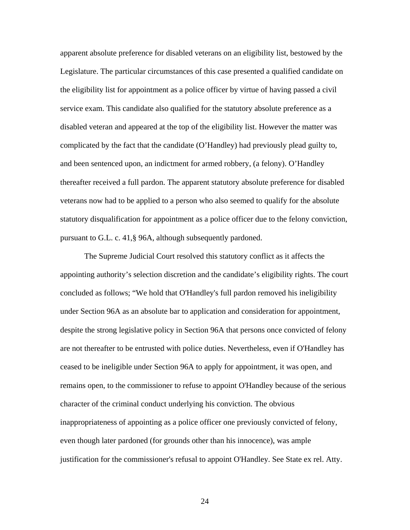apparent absolute preference for disabled veterans on an eligibility list, bestowed by the Legislature. The particular circumstances of this case presented a qualified candidate on the eligibility list for appointment as a police officer by virtue of having passed a civil service exam. This candidate also qualified for the statutory absolute preference as a disabled veteran and appeared at the top of the eligibility list. However the matter was complicated by the fact that the candidate (O'Handley) had previously plead guilty to, and been sentenced upon, an indictment for armed robbery, (a felony). O'Handley thereafter received a full pardon. The apparent statutory absolute preference for disabled veterans now had to be applied to a person who also seemed to qualify for the absolute statutory disqualification for appointment as a police officer due to the felony conviction, pursuant to G.L. c. 41,§ 96A, although subsequently pardoned.

The Supreme Judicial Court resolved this statutory conflict as it affects the appointing authority's selection discretion and the candidate's eligibility rights. The court concluded as follows; "We hold that O'Handley's full pardon removed his ineligibility under Section 96A as an absolute bar to application and consideration for appointment, despite the strong legislative policy in Section 96A that persons once convicted of felony are not thereafter to be entrusted with police duties. Nevertheless, even if O'Handley has ceased to be ineligible under Section 96A to apply for appointment, it was open, and remains open, to the commissioner to refuse to appoint O'Handley because of the serious character of the criminal conduct underlying his conviction. The obvious inappropriateness of appointing as a police officer one previously convicted of felony, even though later pardoned (for grounds other than his innocence), was ample justification for the commissioner's refusal to appoint O'Handley. See State ex rel. Atty.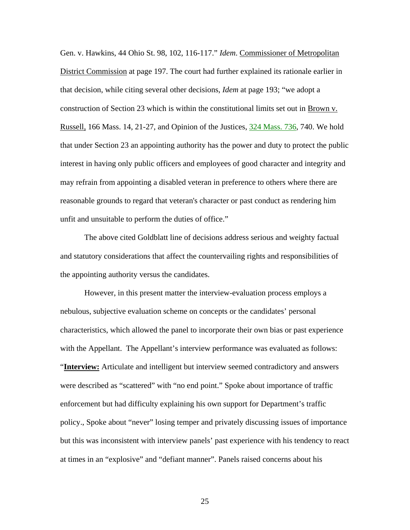Gen. v. Hawkins, 44 Ohio St. 98, 102, 116-117." *Idem*. Commissioner of Metropolitan District Commission at page 197. The court had further explained its rationale earlier in that decision, while citing several other decisions, *Idem* at page 193; "we adopt a construction of Section 23 which is within the constitutional limits set out in Brown v. Russell, 166 Mass. 14, 21-27, and Opinion of the Justices, [324 Mass. 736,](http://socialaw.gvpi.net/sll/lpext.dll/sll/sjcapp/sjcapp-1172577#sjcapp-324-32-mass-46--32-736) 740. We hold that under Section 23 an appointing authority has the power and duty to protect the public interest in having only public officers and employees of good character and integrity and may refrain from appointing a disabled veteran in preference to others where there are reasonable grounds to regard that veteran's character or past conduct as rendering him unfit and unsuitable to perform the duties of office."

The above cited Goldblatt line of decisions address serious and weighty factual and statutory considerations that affect the countervailing rights and responsibilities of the appointing authority versus the candidates.

However, in this present matter the interview-evaluation process employs a nebulous, subjective evaluation scheme on concepts or the candidates' personal characteristics, which allowed the panel to incorporate their own bias or past experience with the Appellant. The Appellant's interview performance was evaluated as follows: "**Interview:** Articulate and intelligent but interview seemed contradictory and answers were described as "scattered" with "no end point." Spoke about importance of traffic enforcement but had difficulty explaining his own support for Department's traffic policy., Spoke about "never" losing temper and privately discussing issues of importance but this was inconsistent with interview panels' past experience with his tendency to react at times in an "explosive" and "defiant manner". Panels raised concerns about his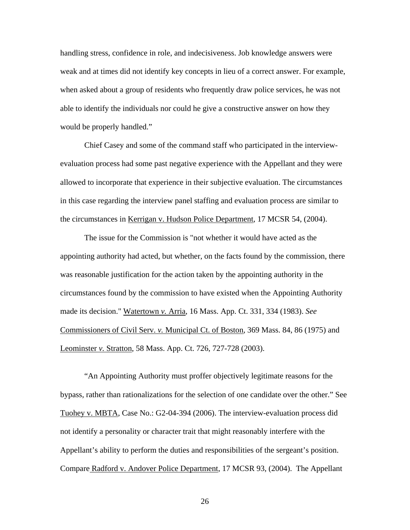handling stress, confidence in role, and indecisiveness. Job knowledge answers were weak and at times did not identify key concepts in lieu of a correct answer. For example, when asked about a group of residents who frequently draw police services, he was not able to identify the individuals nor could he give a constructive answer on how they would be properly handled."

Chief Casey and some of the command staff who participated in the interviewevaluation process had some past negative experience with the Appellant and they were allowed to incorporate that experience in their subjective evaluation. The circumstances in this case regarding the interview panel staffing and evaluation process are similar to the circumstances in Kerrigan v. Hudson Police Department, 17 MCSR 54, (2004).

The issue for the Commission is "not whether it would have acted as the appointing authority had acted, but whether, on the facts found by the commission, there was reasonable justification for the action taken by the appointing authority in the circumstances found by the commission to have existed when the Appointing Authority made its decision." Watertown *v.* Arria, 16 Mass. App. Ct. 331, 334 (1983). *See*  Commissioners of Civil Serv. *v.* Municipal Ct. of Boston, 369 Mass. 84, 86 (1975) and Leominster *v.* Stratton, 58 Mass. App. Ct. 726, 727-728 (2003).

"An Appointing Authority must proffer objectively legitimate reasons for the bypass, rather than rationalizations for the selection of one candidate over the other." See Tuohey v. MBTA, Case No.: G2-04-394 (2006). The interview-evaluation process did not identify a personality or character trait that might reasonably interfere with the Appellant's ability to perform the duties and responsibilities of the sergeant's position. Compare Radford v. Andover Police Department, 17 MCSR 93, (2004). The Appellant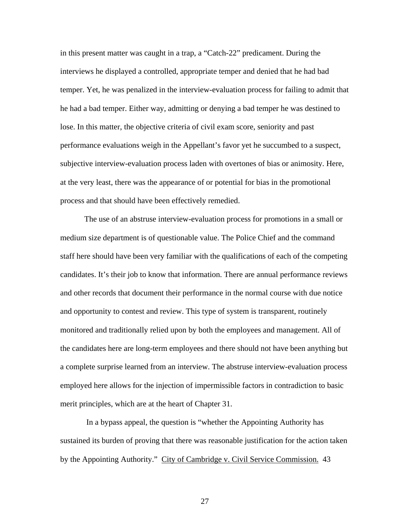in this present matter was caught in a trap, a "Catch-22" predicament. During the interviews he displayed a controlled, appropriate temper and denied that he had bad temper. Yet, he was penalized in the interview-evaluation process for failing to admit that he had a bad temper. Either way, admitting or denying a bad temper he was destined to lose. In this matter, the objective criteria of civil exam score, seniority and past performance evaluations weigh in the Appellant's favor yet he succumbed to a suspect, subjective interview-evaluation process laden with overtones of bias or animosity. Here, at the very least, there was the appearance of or potential for bias in the promotional process and that should have been effectively remedied.

The use of an abstruse interview-evaluation process for promotions in a small or medium size department is of questionable value. The Police Chief and the command staff here should have been very familiar with the qualifications of each of the competing candidates. It's their job to know that information. There are annual performance reviews and other records that document their performance in the normal course with due notice and opportunity to contest and review. This type of system is transparent, routinely monitored and traditionally relied upon by both the employees and management. All of the candidates here are long-term employees and there should not have been anything but a complete surprise learned from an interview. The abstruse interview-evaluation process employed here allows for the injection of impermissible factors in contradiction to basic merit principles, which are at the heart of Chapter 31.

 In a bypass appeal, the question is "whether the Appointing Authority has sustained its burden of proving that there was reasonable justification for the action taken by the Appointing Authority." City of Cambridge v. Civil Service Commission. 43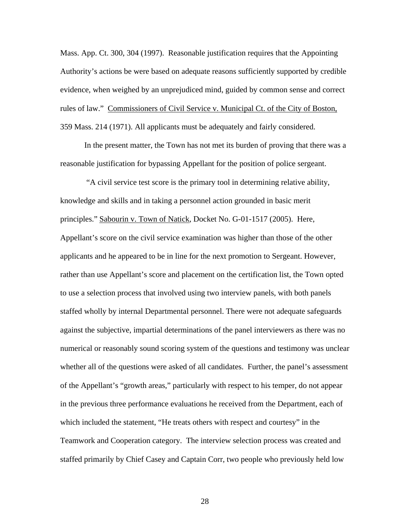Mass. App. Ct. 300, 304 (1997). Reasonable justification requires that the Appointing Authority's actions be were based on adequate reasons sufficiently supported by credible evidence, when weighed by an unprejudiced mind, guided by common sense and correct rules of law." Commissioners of Civil Service v. Municipal Ct. of the City of Boston, 359 Mass. 214 (1971). All applicants must be adequately and fairly considered.

In the present matter, the Town has not met its burden of proving that there was a reasonable justification for bypassing Appellant for the position of police sergeant.

 "A civil service test score is the primary tool in determining relative ability, knowledge and skills and in taking a personnel action grounded in basic merit principles." Sabourin v. Town of Natick, Docket No. G-01-1517 (2005). Here, Appellant's score on the civil service examination was higher than those of the other applicants and he appeared to be in line for the next promotion to Sergeant. However, rather than use Appellant's score and placement on the certification list, the Town opted to use a selection process that involved using two interview panels, with both panels staffed wholly by internal Departmental personnel. There were not adequate safeguards against the subjective, impartial determinations of the panel interviewers as there was no numerical or reasonably sound scoring system of the questions and testimony was unclear whether all of the questions were asked of all candidates. Further, the panel's assessment of the Appellant's "growth areas," particularly with respect to his temper, do not appear in the previous three performance evaluations he received from the Department, each of which included the statement, "He treats others with respect and courtesy" in the Teamwork and Cooperation category. The interview selection process was created and staffed primarily by Chief Casey and Captain Corr, two people who previously held low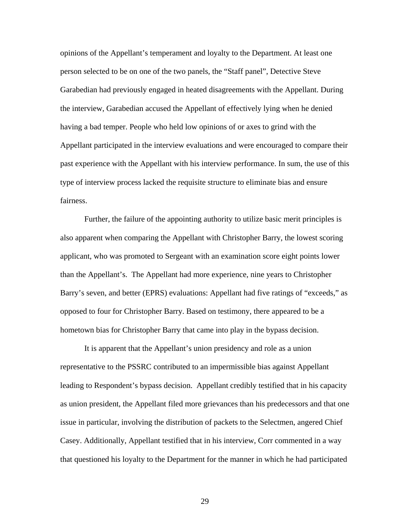opinions of the Appellant's temperament and loyalty to the Department. At least one person selected to be on one of the two panels, the "Staff panel", Detective Steve Garabedian had previously engaged in heated disagreements with the Appellant. During the interview, Garabedian accused the Appellant of effectively lying when he denied having a bad temper. People who held low opinions of or axes to grind with the Appellant participated in the interview evaluations and were encouraged to compare their past experience with the Appellant with his interview performance. In sum, the use of this type of interview process lacked the requisite structure to eliminate bias and ensure fairness.

Further, the failure of the appointing authority to utilize basic merit principles is also apparent when comparing the Appellant with Christopher Barry, the lowest scoring applicant, who was promoted to Sergeant with an examination score eight points lower than the Appellant's. The Appellant had more experience, nine years to Christopher Barry's seven, and better (EPRS) evaluations: Appellant had five ratings of "exceeds," as opposed to four for Christopher Barry. Based on testimony, there appeared to be a hometown bias for Christopher Barry that came into play in the bypass decision.

It is apparent that the Appellant's union presidency and role as a union representative to the PSSRC contributed to an impermissible bias against Appellant leading to Respondent's bypass decision. Appellant credibly testified that in his capacity as union president, the Appellant filed more grievances than his predecessors and that one issue in particular, involving the distribution of packets to the Selectmen, angered Chief Casey. Additionally, Appellant testified that in his interview, Corr commented in a way that questioned his loyalty to the Department for the manner in which he had participated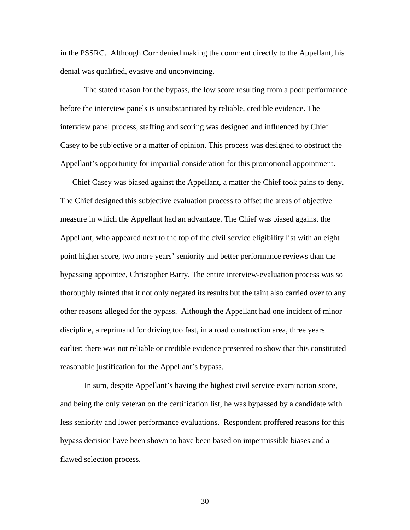in the PSSRC. Although Corr denied making the comment directly to the Appellant, his denial was qualified, evasive and unconvincing.

The stated reason for the bypass, the low score resulting from a poor performance before the interview panels is unsubstantiated by reliable, credible evidence. The interview panel process, staffing and scoring was designed and influenced by Chief Casey to be subjective or a matter of opinion. This process was designed to obstruct the Appellant's opportunity for impartial consideration for this promotional appointment.

Chief Casey was biased against the Appellant, a matter the Chief took pains to deny. The Chief designed this subjective evaluation process to offset the areas of objective measure in which the Appellant had an advantage. The Chief was biased against the Appellant, who appeared next to the top of the civil service eligibility list with an eight point higher score, two more years' seniority and better performance reviews than the bypassing appointee, Christopher Barry. The entire interview-evaluation process was so thoroughly tainted that it not only negated its results but the taint also carried over to any other reasons alleged for the bypass. Although the Appellant had one incident of minor discipline, a reprimand for driving too fast, in a road construction area, three years earlier; there was not reliable or credible evidence presented to show that this constituted reasonable justification for the Appellant's bypass.

In sum, despite Appellant's having the highest civil service examination score, and being the only veteran on the certification list, he was bypassed by a candidate with less seniority and lower performance evaluations. Respondent proffered reasons for this bypass decision have been shown to have been based on impermissible biases and a flawed selection process.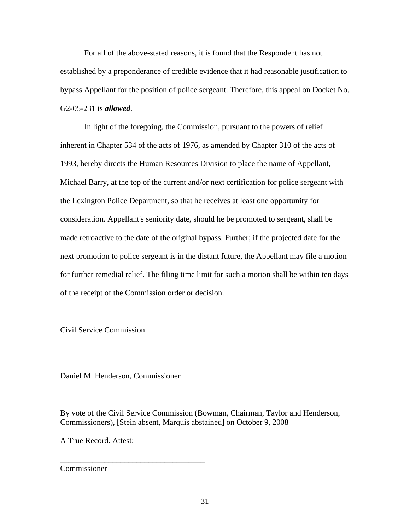For all of the above-stated reasons, it is found that the Respondent has not established by a preponderance of credible evidence that it had reasonable justification to bypass Appellant for the position of police sergeant. Therefore, this appeal on Docket No. G2-05-231 is *allowed*.

In light of the foregoing, the Commission, pursuant to the powers of relief inherent in Chapter 534 of the acts of 1976, as amended by Chapter 310 of the acts of 1993, hereby directs the Human Resources Division to place the name of Appellant, Michael Barry, at the top of the current and/or next certification for police sergeant with the Lexington Police Department, so that he receives at least one opportunity for consideration. Appellant's seniority date, should he be promoted to sergeant, shall be made retroactive to the date of the original bypass. Further; if the projected date for the next promotion to police sergeant is in the distant future, the Appellant may file a motion for further remedial relief. The filing time limit for such a motion shall be within ten days of the receipt of the Commission order or decision.

Civil Service Commission

\_\_\_\_\_\_\_\_\_\_\_\_\_\_\_\_\_\_\_\_\_\_\_\_\_\_\_\_\_\_\_ Daniel M. Henderson, Commissioner

\_\_\_\_\_\_\_\_\_\_\_\_\_\_\_\_\_\_\_\_\_\_\_\_\_\_\_\_\_\_\_\_\_\_\_\_

By vote of the Civil Service Commission (Bowman, Chairman, Taylor and Henderson, Commissioners), [Stein absent, Marquis abstained] on October 9, 2008

A True Record. Attest:

Commissioner